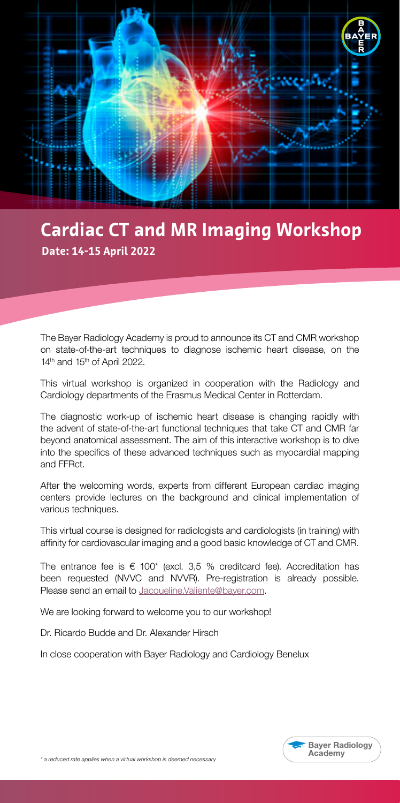

## **Cardiac CT and MR Imaging Workshop Date: 14-15 April 2022**

The Bayer Radiology Academy is proud to announce its CT and CMR workshop on state-of-the-art techniques to diagnose ischemic heart disease, on the 14<sup>th</sup> and 15<sup>th</sup> of April 2022.

This virtual workshop is organized in cooperation with the Radiology and Cardiology departments of the Erasmus Medical Center in Rotterdam.

The diagnostic work-up of ischemic heart disease is changing rapidly with the advent of state-of-the-art functional techniques that take CT and CMR far beyond anatomical assessment. The aim of this interactive workshop is to dive into the specifics of these advanced techniques such as myocardial mapping and FFRct.

After the welcoming words, experts from different European cardiac imaging centers provide lectures on the background and clinical implementation of various techniques.

This virtual course is designed for radiologists and cardiologists (in training) with affinity for cardiovascular imaging and a good basic knowledge of CT and CMR.

The entrance fee is  $\epsilon$  100\* (excl. 3,5 % creditcard fee). Accreditation has been requested (NVVC and NVVR). Pre-registration is already possible. Please send an email to [Jacqueline.Valiente@bayer.com](mailto:Jacqueline.Valiente%40bayer.com?subject=).

We are looking forward to welcome you to our workshop!

Dr. Ricardo Budde and Dr. Alexander Hirsch

In close cooperation with Bayer Radiology and Cardiology Benelux